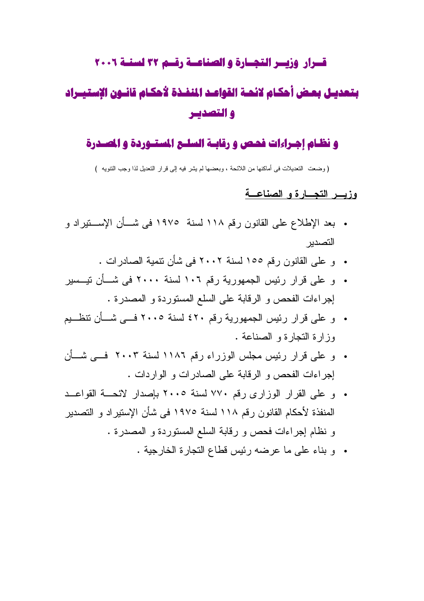### قسرار وزيسر التجسارة والصناعسة رقسم ٣٢ لسنسة ٢٠٠٦

# بتعديـل بعض أحكـام لائحـة القواعـد المنفـذة لأحكـام قانــون الإستيــراد والتصديير

#### و نظـام اجـراءات فحـص و رقابـة السلـج المستـوردة و الصـدرة

(وضعت التعديلات في أماكنها من اللائحة ، وبعضها لم يشر فيه إلى قرار التعديل لذا وجب التتويه )

### وذيب التجبارة والصناعية

- بعد الإطلاع على القانون رقم ١١٨ لسنة ١٩٧٥ في شـــأن الإســـنيراد و التصدبر
	- و علي القانون ر قم ١٥٥ لسنة ٢٠٠٢ في شأن نتمية الصادر ات .
- و على قرار رئيس الجمهورية رقم ١٠٦ لسنة ٢٠٠٠ في شــأن تيــسير إجراءات الفحص و الرقابة على السلع المستوردة و المصدرة .
- و على قرار رئيس الجمهورية رقم ٤٢٠ لسنة ٢٠٠٥ فــي شــأن نتظــيم وزارة النجارة و الصناعة .
- و علي قرار رئيس مجلس الوزراء رقم ١١٨٦ لسنة ٢٠٠٣ فــي شــأن إجراءات الفحص و الرقابة على الصادرات و الواردات .
- و علي القرار الوزاري رقم ٧٧٠ لسنة ٢٠٠٥ بإصدار لائحـــة القواعــد المنفذة لأحكام القانون رقم ١١٨ لسنة ١٩٧٥ في شأن الإستيراد و التصدير و نظام إجراءات فحص و رقابة السلع المستوردة و المصدرة .
	- . وبناء على ما عرضه رئيس قطاع النجارة الخارجية .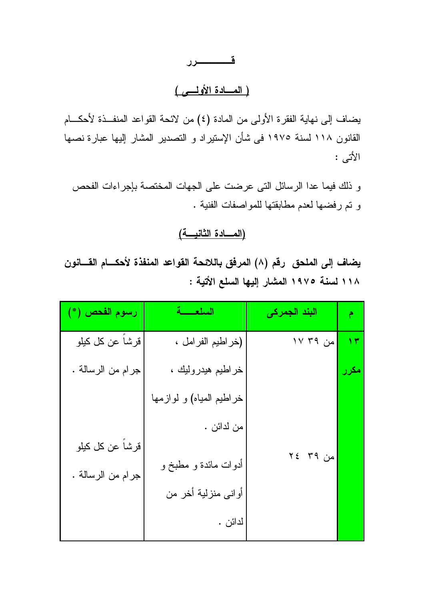## قــــــــــــرر

### (العسادة الأولسي)

يضاف إلى نهاية الفقرة الأولى من المادة (٤) من لائحة القواعد المنفــذة لأحكـــام القانون ١١٨ لسنة ١٩٧٥ في شأن الإستيراد و التصدير المشار إليها عبارة نصها الأتى :

و ذلك فيما عدا الرسائل التي عرضت على الجهات المختصة بإجراءات الفحص و نم رفضها لعدم مطابقتها للمواصفات الفنية .

#### <u> (المسادة الثانيسة)</u>

يضاف إلى الملحق رقم (٨) المرفق باللائحة القواعد المنفذة لأحكـــام القـــانون ١١٨ لسنة ١٩٧٥ المشار إليها السلع الأتية :

| رسوم الفحص (*)                        | السلعسة                  | البند الجمرك <i>ي</i> |              |
|---------------------------------------|--------------------------|-----------------------|--------------|
| قرشاً عن كل كيلو                      | (خراطيم الفرامل ،        | من ۳۹ ۱۷              | $\mathbf{y}$ |
| جرام من الرسالة .                     | خراطيم هيدروليك ،        |                       | مكرر         |
|                                       | خراطيم المياه) و لوازمها |                       |              |
|                                       | من لدائن .               |                       |              |
| قرشاً عن كل كيلو<br>جرام من الرسالة . | أدوات مائدة و مطبخ و     | من ۳۹ ٢٤              |              |
|                                       | أواني منزلية أخر من      |                       |              |
|                                       | لدائن .                  |                       |              |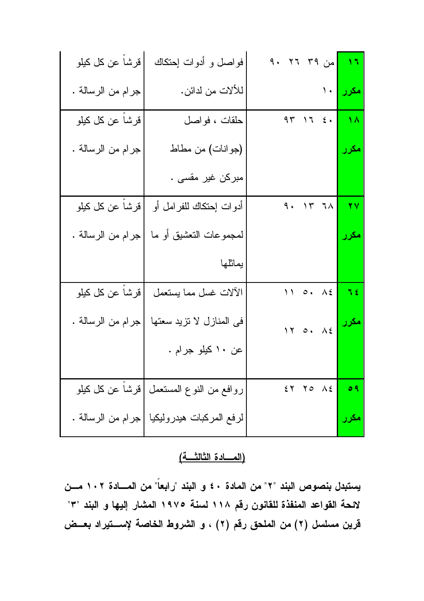| قرشاً عن كل كيلو  | فواصل و أدوات إحتكاك                      | من ٣٩ ٢٦ ٩٠              | $\sqrt{2}$           |
|-------------------|-------------------------------------------|--------------------------|----------------------|
| جرام من الرسالة . | للألات من لدائن.                          | <mark>مکرر </mark> جود ا |                      |
| قرشاً عن كل كيلو  | حلقات ، فواصل                             | 47176                    | $\overline{\Lambda}$ |
| جرام من الرسالة . | (جوانات) من مطاط                          |                          | مكرر                 |
|                   | مبرکن غیر مقسی .                          |                          |                      |
| قرشاً عن كل كيلو  | أدوات إحتكاك للفرامل أو                   | 9.177                    | 77                   |
| جرام من الرسالة . | لمجموعات التعشيق أو ما                    |                          | مکرر                 |
|                   |                                           |                          |                      |
|                   | يماثلها                                   |                          |                      |
| قرشاً عن كل كيلو  | الألات غسل مما بستعمل                     | 11 0. AE                 | $\sqrt{2}$           |
| جرام من الرسالة . | في المنازل لا تزيد سعتها                  | 17 0. 12                 | <mark>مکرر</mark>    |
|                   | عن ۱۰ کیلو جرام .                         |                          |                      |
|                   | روافع من النوع المستعمل  قرشاً عن كل كيلو | $58$ $70$ $15$           | ٥٩                   |

(المسادة الثالثة)

يستبدل بنصوص البند "٢" من المادة ٤٠ و البند "رابعاً" من المسادة ١٠٢ مسن لائحة القواعد المنفذة للقانون رقم ١١٨ لسنة ١٩٧٥ المشار إليها و البند "٣" قرين مسلسل (٢) من الملحق رقم (٢) ، و الشروط الخاصة لإسستيراد بعــض